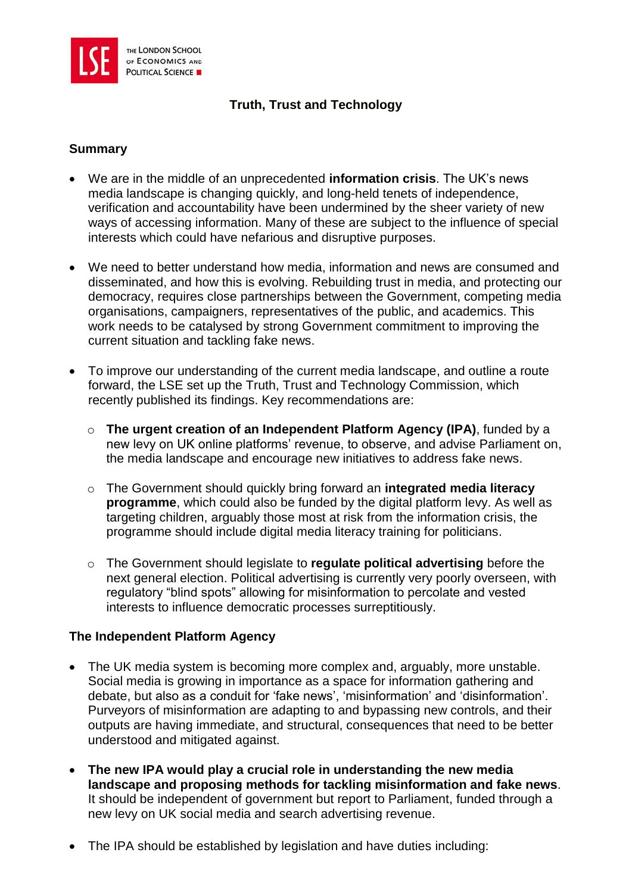

# **Truth, Trust and Technology**

#### **Summary**

- We are in the middle of an unprecedented **information crisis**. The UK's news media landscape is changing quickly, and long-held tenets of independence, verification and accountability have been undermined by the sheer variety of new ways of accessing information. Many of these are subject to the influence of special interests which could have nefarious and disruptive purposes.
- We need to better understand how media, information and news are consumed and disseminated, and how this is evolving. Rebuilding trust in media, and protecting our democracy, requires close partnerships between the Government, competing media organisations, campaigners, representatives of the public, and academics. This work needs to be catalysed by strong Government commitment to improving the current situation and tackling fake news.
- To improve our understanding of the current media landscape, and outline a route forward, the LSE set up the Truth, Trust and Technology Commission, which recently published its findings. Key recommendations are:
	- o **The urgent creation of an Independent Platform Agency (IPA)**, funded by a new levy on UK online platforms' revenue, to observe, and advise Parliament on, the media landscape and encourage new initiatives to address fake news.
	- o The Government should quickly bring forward an **integrated media literacy programme**, which could also be funded by the digital platform levy. As well as targeting children, arguably those most at risk from the information crisis, the programme should include digital media literacy training for politicians.
	- o The Government should legislate to **regulate political advertising** before the next general election. Political advertising is currently very poorly overseen, with regulatory "blind spots" allowing for misinformation to percolate and vested interests to influence democratic processes surreptitiously.

### **The Independent Platform Agency**

- The UK media system is becoming more complex and, arguably, more unstable. Social media is growing in importance as a space for information gathering and debate, but also as a conduit for 'fake news', 'misinformation' and 'disinformation'. Purveyors of misinformation are adapting to and bypassing new controls, and their outputs are having immediate, and structural, consequences that need to be better understood and mitigated against.
- **The new IPA would play a crucial role in understanding the new media landscape and proposing methods for tackling misinformation and fake news**. It should be independent of government but report to Parliament, funded through a new levy on UK social media and search advertising revenue.
- The IPA should be established by legislation and have duties including: